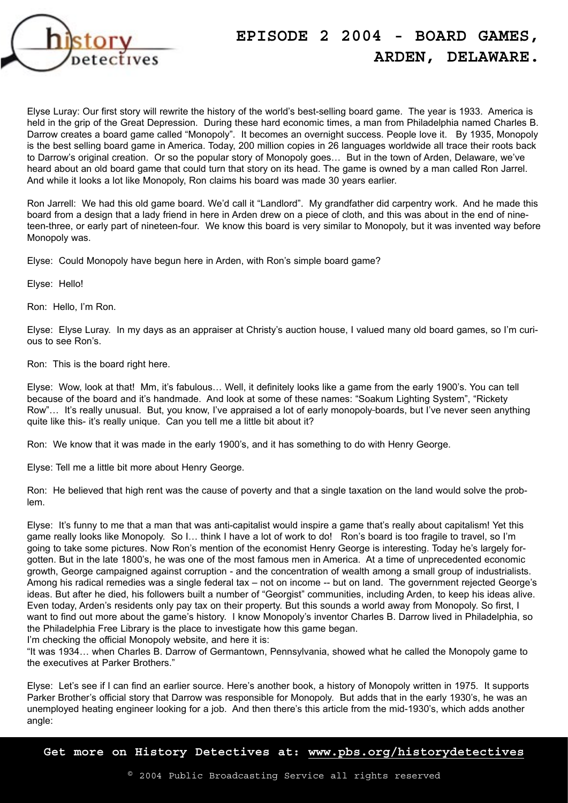

## **EPISODE 2 2004 - BOARD GAMES, ARDEN, DELAWARE.**

Elyse Luray: Our first story will rewrite the history of the world's best-selling board game. The year is 1933. America is held in the grip of the Great Depression. During these hard economic times, a man from Philadelphia named Charles B. Darrow creates a board game called "Monopoly". It becomes an overnight success. People love it. By 1935, Monopoly is the best selling board game in America. Today, 200 million copies in 26 languages worldwide all trace their roots back to Darrow's original creation. Or so the popular story of Monopoly goes… But in the town of Arden, Delaware, we've heard about an old board game that could turn that story on its head. The game is owned by a man called Ron Jarrel. And while it looks a lot like Monopoly, Ron claims his board was made 30 years earlier.

Ron Jarrell: We had this old game board. We'd call it "Landlord". My grandfather did carpentry work. And he made this board from a design that a lady friend in here in Arden drew on a piece of cloth, and this was about in the end of nineteen-three, or early part of nineteen-four. We know this board is very similar to Monopoly, but it was invented way before Monopoly was.

Elyse: Could Monopoly have begun here in Arden, with Ron's simple board game?

Elyse: Hello!

Ron: Hello, I'm Ron.

Elyse: Elyse Luray. In my days as an appraiser at Christy's auction house, I valued many old board games, so I'm curious to see Ron's.

Ron: This is the board right here.

Elyse: Wow, look at that! Mm, it's fabulous… Well, it definitely looks like a game from the early 1900's. You can tell because of the board and it's handmade. And look at some of these names: "Soakum Lighting System", "Rickety Row"… It's really unusual. But, you know, I've appraised a lot of early monopoly boards, but I've never seen anything quite like this- it's really unique. Can you tell me a little bit about it?

Ron: We know that it was made in the early 1900's, and it has something to do with Henry George.

Elyse: Tell me a little bit more about Henry George.

Ron: He believed that high rent was the cause of poverty and that a single taxation on the land would solve the problem.

Elyse: It's funny to me that a man that was anti-capitalist would inspire a game that's really about capitalism! Yet this game really looks like Monopoly. So I… think I have a lot of work to do! Ron's board is too fragile to travel, so I'm going to take some pictures. Now Ron's mention of the economist Henry George is interesting. Today he's largely forgotten. But in the late 1800's, he was one of the most famous men in America. At a time of unprecedented economic growth, George campaigned against corruption - and the concentration of wealth among a small group of industrialists. Among his radical remedies was a single federal tax – not on income -- but on land. The government rejected George's ideas. But after he died, his followers built a number of "Georgist" communities, including Arden, to keep his ideas alive. Even today, Arden's residents only pay tax on their property. But this sounds a world away from Monopoly. So first, I want to find out more about the game's history. I know Monopoly's inventor Charles B. Darrow lived in Philadelphia, so the Philadelphia Free Library is the place to investigate how this game began.

I'm checking the official Monopoly website, and here it is:

"It was 1934… when Charles B. Darrow of Germantown, Pennsylvania, showed what he called the Monopoly game to the executives at Parker Brothers."

Elyse: Let's see if I can find an earlier source. Here's another book, a history of Monopoly written in 1975. It supports Parker Brother's official story that Darrow was responsible for Monopoly. But adds that in the early 1930's, he was an unemployed heating engineer looking for a job. And then there's this article from the mid-1930's, which adds another angle:

**Get more on History Detectives at: www.pbs.org/historydetectives**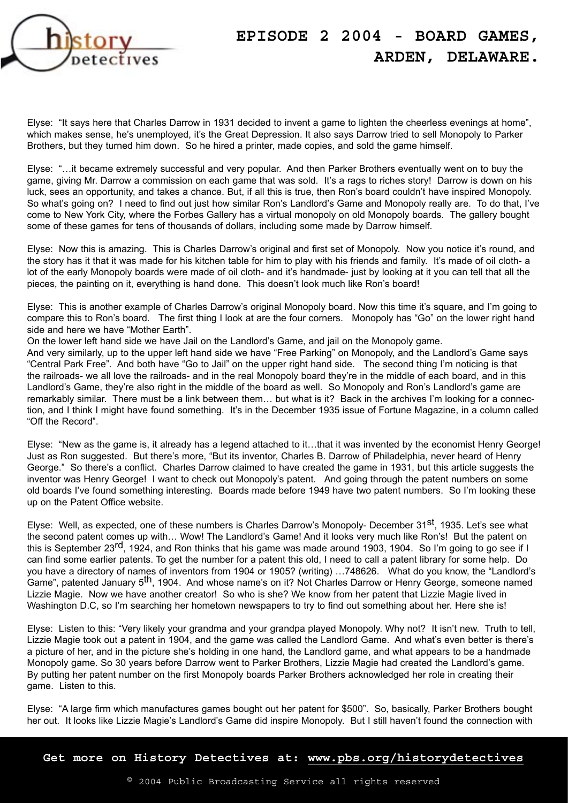

## **EPISODE 2 2004 - BOARD GAMES, ARDEN, DELAWARE.**

Elyse: "It says here that Charles Darrow in 1931 decided to invent a game to lighten the cheerless evenings at home", which makes sense, he's unemployed, it's the Great Depression. It also says Darrow tried to sell Monopoly to Parker Brothers, but they turned him down. So he hired a printer, made copies, and sold the game himself.

Elyse: "…it became extremely successful and very popular. And then Parker Brothers eventually went on to buy the game, giving Mr. Darrow a commission on each game that was sold. It's a rags to riches story! Darrow is down on his luck, sees an opportunity, and takes a chance. But, if all this is true, then Ron's board couldn't have inspired Monopoly. So what's going on? I need to find out just how similar Ron's Landlord's Game and Monopoly really are. To do that, I've come to New York City, where the Forbes Gallery has a virtual monopoly on old Monopoly boards. The gallery bought some of these games for tens of thousands of dollars, including some made by Darrow himself.

Elyse: Now this is amazing. This is Charles Darrow's original and first set of Monopoly. Now you notice it's round, and the story has it that it was made for his kitchen table for him to play with his friends and family. It's made of oil cloth- a lot of the early Monopoly boards were made of oil cloth- and it's handmade- just by looking at it you can tell that all the pieces, the painting on it, everything is hand done. This doesn't look much like Ron's board!

Elyse: This is another example of Charles Darrow's original Monopoly board. Now this time it's square, and I'm going to compare this to Ron's board. The first thing I look at are the four corners. Monopoly has "Go" on the lower right hand side and here we have "Mother Earth".

On the lower left hand side we have Jail on the Landlord's Game, and jail on the Monopoly game.

And very similarly, up to the upper left hand side we have "Free Parking" on Monopoly, and the Landlord's Game says "Central Park Free". And both have "Go to Jail" on the upper right hand side. The second thing I'm noticing is that the railroads- we all love the railroads- and in the real Monopoly board they're in the middle of each board, and in this Landlord's Game, they're also right in the middle of the board as well. So Monopoly and Ron's Landlord's game are remarkably similar. There must be a link between them… but what is it? Back in the archives I'm looking for a connection, and I think I might have found something. It's in the December 1935 issue of Fortune Magazine, in a column called "Off the Record".

Elyse: "New as the game is, it already has a legend attached to it…that it was invented by the economist Henry George! Just as Ron suggested. But there's more, "But its inventor, Charles B. Darrow of Philadelphia, never heard of Henry George." So there's a conflict. Charles Darrow claimed to have created the game in 1931, but this article suggests the inventor was Henry George! I want to check out Monopoly's patent. And going through the patent numbers on some old boards I've found something interesting. Boards made before 1949 have two patent numbers. So I'm looking these up on the Patent Office website.

Elyse: Well, as expected, one of these numbers is Charles Darrow's Monopoly- December 31<sup>st</sup>, 1935. Let's see what the second patent comes up with… Wow! The Landlord's Game! And it looks very much like Ron's! But the patent on this is September 23<sup>rd</sup>, 1924, and Ron thinks that his game was made around 1903, 1904. So I'm going to go see if I can find some earlier patents. To get the number for a patent this old, I need to call a patent library for some help. Do you have a directory of names of inventors from 1904 or 1905? (writing) …748626. What do you know, the "Landlord's Game", patented January 5th, 1904. And whose name's on it? Not Charles Darrow or Henry George, someone named Lizzie Magie. Now we have another creator! So who is she? We know from her patent that Lizzie Magie lived in Washington D.C, so I'm searching her hometown newspapers to try to find out something about her. Here she is!

Elyse: Listen to this: "Very likely your grandma and your grandpa played Monopoly. Why not? It isn't new. Truth to tell, Lizzie Magie took out a patent in 1904, and the game was called the Landlord Game. And what's even better is there's a picture of her, and in the picture she's holding in one hand, the Landlord game, and what appears to be a handmade Monopoly game. So 30 years before Darrow went to Parker Brothers, Lizzie Magie had created the Landlord's game. By putting her patent number on the first Monopoly boards Parker Brothers acknowledged her role in creating their game. Listen to this.

Elyse: "A large firm which manufactures games bought out her patent for \$500". So, basically, Parker Brothers bought her out. It looks like Lizzie Magie's Landlord's Game did inspire Monopoly. But I still haven't found the connection with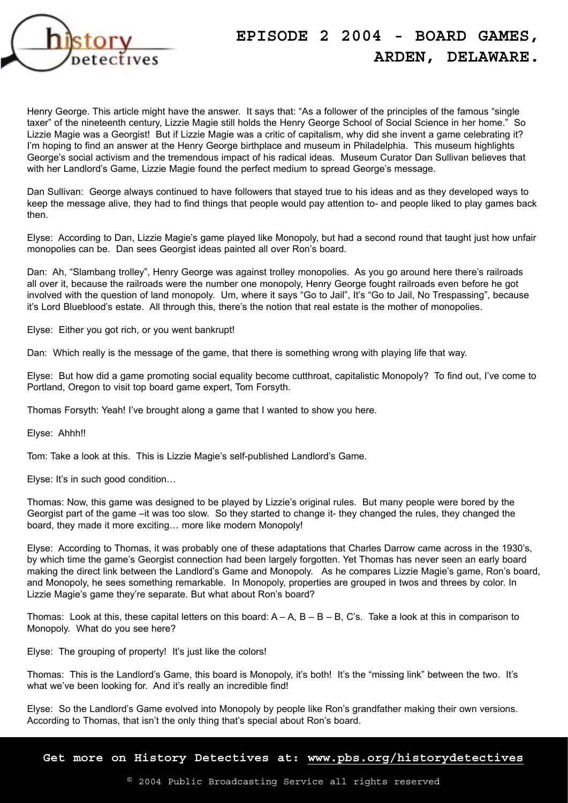

## **EPISODE 2 2004 - BOARD GAMES, ARDEN, DELAWARE.**

Henry George. This article might have the answer. It says that: "As a follower of the principles of the famous "single taxer" of the nineteenth century, Lizzie Magie still holds the Henry George School of Social Science in her home." So Lizzie Magie was a Georgist! But if Lizzie Magie was a critic of capitalism, why did she invent a game celebrating it? I'm hoping to find an answer at the Henry George birthplace and museum in Philadelphia. This museum highlights George's social activism and the tremendous impact of his radical ideas. Museum Curator Dan Sullivan believes that with her Landlord's Game, Lizzie Magie found the perfect medium to spread George's message.

Dan Sullivan: George always continued to have followers that stayed true to his ideas and as they developed ways to keep the message alive, they had to find things that people would pay attention to- and people liked to play games back then.

Elyse: According to Dan, Lizzie Magie's game played like Monopoly, but had a second round that taught just how unfair monopolies can be. Dan sees Georgist ideas painted all over Ron's board.

Dan: Ah, "Slambang trolley", Henry George was against trolley monopolies. As you go around here there's railroads all over it, because the railroads were the number one monopoly, Henry George fought railroads even before he got involved with the question of land monopoly. Um, where it says "Go to Jail", It's "Go to Jail, No Trespassing", because it's Lord Blueblood's estate. All through this, there's the notion that real estate is the mother of monopolies.

Elyse: Either you got rich, or you went bankrupt!

Dan: Which really is the message of the game, that there is something wrong with playing life that way.

Elyse: But how did a game promoting social equality become cutthroat, capitalistic Monopoly? To find out, I've come to Portland, Oregon to visit top board game expert, Tom Forsyth.

Thomas Forsyth: Yeah! I've brought along a game that I wanted to show you here.

Elyse: Ahhh!!

Tom: Take a look at this. This is Lizzie Magie's self-published Landlord's Game.

Elyse: It's in such good condition…

Thomas: Now, this game was designed to be played by Lizzie's original rules. But many people were bored by the Georgist part of the game –it was too slow. So they started to change it- they changed the rules, they changed the board, they made it more exciting… more like modern Monopoly!

Elyse: According to Thomas, it was probably one of these adaptations that Charles Darrow came across in the 1930's, by which time the game's Georgist connection had been largely forgotten. Yet Thomas has never seen an early board making the direct link between the Landlord's Game and Monopoly. As he compares Lizzie Magie's game, Ron's board, and Monopoly, he sees something remarkable. In Monopoly, properties are grouped in twos and threes by color. In Lizzie Magie's game they're separate. But what about Ron's board?

Thomas: Look at this, these capital letters on this board:  $A - A$ ,  $B - B - B$ , C's. Take a look at this in comparison to Monopoly. What do you see here?

Elyse: The grouping of property! It's just like the colors!

Thomas: This is the Landlord's Game, this board is Monopoly, it's both! It's the "missing link" between the two. It's what we've been looking for. And it's really an incredible find!

Elyse: So the Landlord's Game evolved into Monopoly by people like Ron's grandfather making their own versions. According to Thomas, that isn't the only thing that's special about Ron's board.

**Get more on History Detectives at: www.pbs.org/historydetectives**